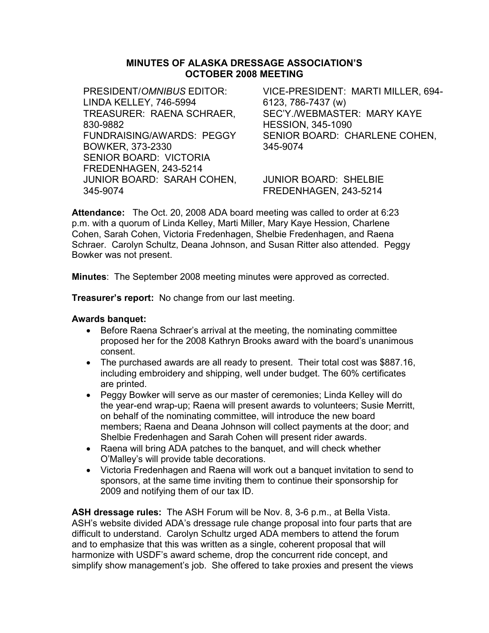# MINUTES OF ALASKA DRESSAGE ASSOCIATION'S OCTOBER 2008 MEETING

PRESIDENT/OMNIBUS EDITOR: LINDA KELLEY, 746-5994 TREASURER: RAENA SCHRAER, 830-9882 FUNDRAISING/AWARDS: PEGGY BOWKER, 373-2330 SENIOR BOARD: VICTORIA FREDENHAGEN, 243-5214 JUNIOR BOARD: SARAH COHEN, 345-9074

VICE-PRESIDENT: MARTI MILLER, 694- 6123, 786-7437 (w) SEC'Y./WEBMASTER: MARY KAYE HESSION, 345-1090 SENIOR BOARD: CHARLENE COHEN, 345-9074

JUNIOR BOARD: SHELBIE FREDENHAGEN, 243-5214

Attendance: The Oct. 20, 2008 ADA board meeting was called to order at 6:23 p.m. with a quorum of Linda Kelley, Marti Miller, Mary Kaye Hession, Charlene Cohen, Sarah Cohen, Victoria Fredenhagen, Shelbie Fredenhagen, and Raena Schraer. Carolyn Schultz, Deana Johnson, and Susan Ritter also attended. Peggy Bowker was not present.

Minutes: The September 2008 meeting minutes were approved as corrected.

**Treasurer's report:** No change from our last meeting.

### Awards banquet:

- Before Raena Schraer's arrival at the meeting, the nominating committee proposed her for the 2008 Kathryn Brooks award with the board's unanimous consent.
- The purchased awards are all ready to present. Their total cost was \$887.16, including embroidery and shipping, well under budget. The 60% certificates are printed.
- Peggy Bowker will serve as our master of ceremonies; Linda Kelley will do the year-end wrap-up; Raena will present awards to volunteers; Susie Merritt, on behalf of the nominating committee, will introduce the new board members; Raena and Deana Johnson will collect payments at the door; and Shelbie Fredenhagen and Sarah Cohen will present rider awards.
- Raena will bring ADA patches to the banquet, and will check whether O'Malley's will provide table decorations.
- Victoria Fredenhagen and Raena will work out a banquet invitation to send to sponsors, at the same time inviting them to continue their sponsorship for 2009 and notifying them of our tax ID.

ASH dressage rules: The ASH Forum will be Nov. 8, 3-6 p.m., at Bella Vista. ASH's website divided ADA's dressage rule change proposal into four parts that are difficult to understand. Carolyn Schultz urged ADA members to attend the forum and to emphasize that this was written as a single, coherent proposal that will harmonize with USDF's award scheme, drop the concurrent ride concept, and simplify show management's job. She offered to take proxies and present the views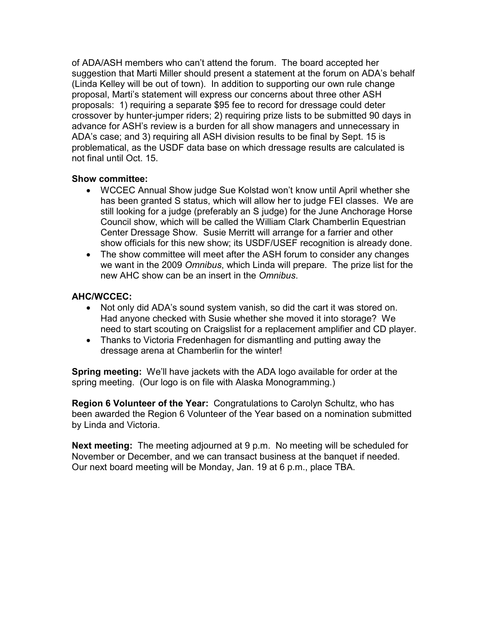of ADA/ASH members who can't attend the forum. The board accepted her suggestion that Marti Miller should present a statement at the forum on ADA's behalf (Linda Kelley will be out of town). In addition to supporting our own rule change proposal, Marti's statement will express our concerns about three other ASH proposals: 1) requiring a separate \$95 fee to record for dressage could deter crossover by hunter-jumper riders; 2) requiring prize lists to be submitted 90 days in advance for ASH's review is a burden for all show managers and unnecessary in ADA's case; and 3) requiring all ASH division results to be final by Sept. 15 is problematical, as the USDF data base on which dressage results are calculated is not final until Oct. 15.

### Show committee:

- WCCEC Annual Show judge Sue Kolstad won't know until April whether she has been granted S status, which will allow her to judge FEI classes. We are still looking for a judge (preferably an S judge) for the June Anchorage Horse Council show, which will be called the William Clark Chamberlin Equestrian Center Dressage Show. Susie Merritt will arrange for a farrier and other show officials for this new show; its USDF/USEF recognition is already done.
- The show committee will meet after the ASH forum to consider any changes we want in the 2009 Omnibus, which Linda will prepare. The prize list for the new AHC show can be an insert in the Omnibus.

## AHC/WCCEC:

- Not only did ADA's sound system vanish, so did the cart it was stored on. Had anyone checked with Susie whether she moved it into storage? We need to start scouting on Craigslist for a replacement amplifier and CD player.
- Thanks to Victoria Fredenhagen for dismantling and putting away the dressage arena at Chamberlin for the winter!

Spring meeting: We'll have jackets with the ADA logo available for order at the spring meeting. (Our logo is on file with Alaska Monogramming.)

Region 6 Volunteer of the Year: Congratulations to Carolyn Schultz, who has been awarded the Region 6 Volunteer of the Year based on a nomination submitted by Linda and Victoria.

Next meeting: The meeting adjourned at 9 p.m. No meeting will be scheduled for November or December, and we can transact business at the banquet if needed. Our next board meeting will be Monday, Jan. 19 at 6 p.m., place TBA.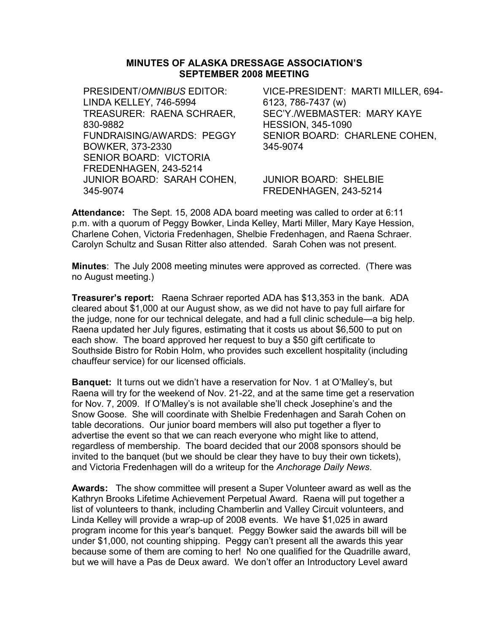## MINUTES OF ALASKA DRESSAGE ASSOCIATION'S SEPTEMBER 2008 MEETING

PRESIDENT/OMNIBUS EDITOR: LINDA KELLEY, 746-5994 TREASURER: RAENA SCHRAER, 830-9882 FUNDRAISING/AWARDS: PEGGY BOWKER, 373-2330 SENIOR BOARD: VICTORIA FREDENHAGEN, 243-5214 JUNIOR BOARD: SARAH COHEN, 345-9074

VICE-PRESIDENT: MARTI MILLER, 694- 6123, 786-7437 (w) SEC'Y./WEBMASTER: MARY KAYE HESSION, 345-1090 SENIOR BOARD: CHARLENE COHEN, 345-9074

JUNIOR BOARD: SHELBIE FREDENHAGEN, 243-5214

Attendance: The Sept. 15, 2008 ADA board meeting was called to order at 6:11 p.m. with a quorum of Peggy Bowker, Linda Kelley, Marti Miller, Mary Kaye Hession, Charlene Cohen, Victoria Fredenhagen, Shelbie Fredenhagen, and Raena Schraer. Carolyn Schultz and Susan Ritter also attended. Sarah Cohen was not present.

Minutes: The July 2008 meeting minutes were approved as corrected. (There was no August meeting.)

Treasurer's report: Raena Schraer reported ADA has \$13,353 in the bank. ADA cleared about \$1,000 at our August show, as we did not have to pay full airfare for the judge, none for our technical delegate, and had a full clinic schedule—a big help. Raena updated her July figures, estimating that it costs us about \$6,500 to put on each show. The board approved her request to buy a \$50 gift certificate to Southside Bistro for Robin Holm, who provides such excellent hospitality (including chauffeur service) for our licensed officials.

Banquet: It turns out we didn't have a reservation for Nov. 1 at O'Malley's, but Raena will try for the weekend of Nov. 21-22, and at the same time get a reservation for Nov. 7, 2009. If O'Malley's is not available she'll check Josephine's and the Snow Goose. She will coordinate with Shelbie Fredenhagen and Sarah Cohen on table decorations. Our junior board members will also put together a flyer to advertise the event so that we can reach everyone who might like to attend, regardless of membership. The board decided that our 2008 sponsors should be invited to the banquet (but we should be clear they have to buy their own tickets), and Victoria Fredenhagen will do a writeup for the Anchorage Daily News.

Awards: The show committee will present a Super Volunteer award as well as the Kathryn Brooks Lifetime Achievement Perpetual Award. Raena will put together a list of volunteers to thank, including Chamberlin and Valley Circuit volunteers, and Linda Kelley will provide a wrap-up of 2008 events. We have \$1,025 in award program income for this year's banquet. Peggy Bowker said the awards bill will be under \$1,000, not counting shipping. Peggy can't present all the awards this year because some of them are coming to her! No one qualified for the Quadrille award, but we will have a Pas de Deux award. We don't offer an Introductory Level award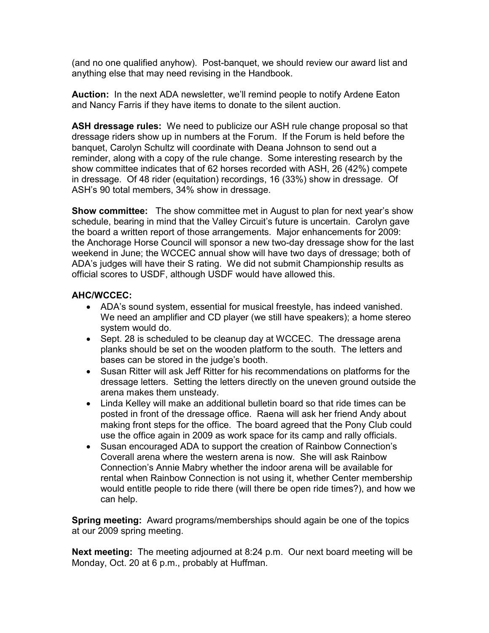(and no one qualified anyhow). Post-banquet, we should review our award list and anything else that may need revising in the Handbook.

Auction: In the next ADA newsletter, we'll remind people to notify Ardene Eaton and Nancy Farris if they have items to donate to the silent auction.

ASH dressage rules: We need to publicize our ASH rule change proposal so that dressage riders show up in numbers at the Forum. If the Forum is held before the banquet, Carolyn Schultz will coordinate with Deana Johnson to send out a reminder, along with a copy of the rule change. Some interesting research by the show committee indicates that of 62 horses recorded with ASH, 26 (42%) compete in dressage. Of 48 rider (equitation) recordings, 16 (33%) show in dressage. Of ASH's 90 total members, 34% show in dressage.

**Show committee:** The show committee met in August to plan for next year's show schedule, bearing in mind that the Valley Circuit's future is uncertain. Carolyn gave the board a written report of those arrangements. Major enhancements for 2009: the Anchorage Horse Council will sponsor a new two-day dressage show for the last weekend in June; the WCCEC annual show will have two days of dressage; both of ADA's judges will have their S rating. We did not submit Championship results as official scores to USDF, although USDF would have allowed this.

# AHC/WCCEC:

- ADA's sound system, essential for musical freestyle, has indeed vanished. We need an amplifier and CD player (we still have speakers); a home stereo system would do.
- Sept. 28 is scheduled to be cleanup day at WCCEC. The dressage arena planks should be set on the wooden platform to the south. The letters and bases can be stored in the judge's booth.
- Susan Ritter will ask Jeff Ritter for his recommendations on platforms for the dressage letters. Setting the letters directly on the uneven ground outside the arena makes them unsteady.
- Linda Kelley will make an additional bulletin board so that ride times can be posted in front of the dressage office. Raena will ask her friend Andy about making front steps for the office. The board agreed that the Pony Club could use the office again in 2009 as work space for its camp and rally officials.
- Susan encouraged ADA to support the creation of Rainbow Connection's Coverall arena where the western arena is now. She will ask Rainbow Connection's Annie Mabry whether the indoor arena will be available for rental when Rainbow Connection is not using it, whether Center membership would entitle people to ride there (will there be open ride times?), and how we can help.

Spring meeting: Award programs/memberships should again be one of the topics at our 2009 spring meeting.

Next meeting: The meeting adjourned at 8:24 p.m. Our next board meeting will be Monday, Oct. 20 at 6 p.m., probably at Huffman.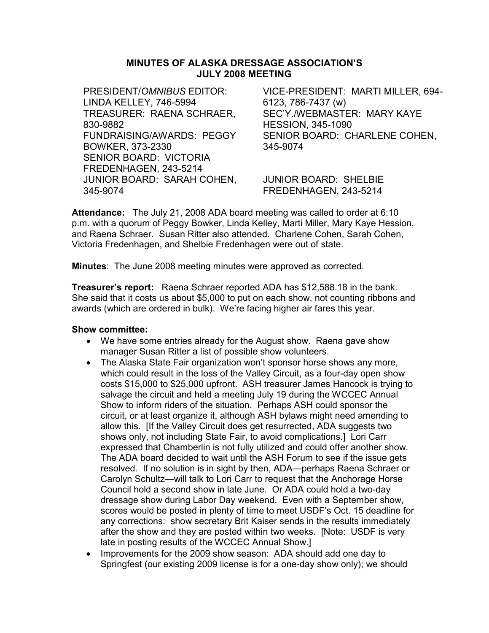## MINUTES OF ALASKA DRESSAGE ASSOCIATION'S JULY 2008 MEETING

PRESIDENT/OMNIBUS EDITOR: LINDA KELLEY, 746-5994 TREASURER: RAENA SCHRAER, 830-9882 FUNDRAISING/AWARDS: PEGGY BOWKER, 373-2330 SENIOR BOARD: VICTORIA FREDENHAGEN, 243-5214 JUNIOR BOARD: SARAH COHEN, 345-9074

VICE-PRESIDENT: MARTI MILLER, 694- 6123, 786-7437 (w) SEC'Y./WEBMASTER: MARY KAYE HESSION, 345-1090 SENIOR BOARD: CHARLENE COHEN, 345-9074

JUNIOR BOARD: SHELBIE FREDENHAGEN, 243-5214

Attendance: The July 21, 2008 ADA board meeting was called to order at 6:10 p.m. with a quorum of Peggy Bowker, Linda Kelley, Marti Miller, Mary Kaye Hession, and Raena Schraer. Susan Ritter also attended. Charlene Cohen, Sarah Cohen, Victoria Fredenhagen, and Shelbie Fredenhagen were out of state.

**Minutes:** The June 2008 meeting minutes were approved as corrected.

Treasurer's report: Raena Schraer reported ADA has \$12,588.18 in the bank. She said that it costs us about \$5,000 to put on each show, not counting ribbons and awards (which are ordered in bulk). We're facing higher air fares this year.

- We have some entries already for the August show. Raena gave show manager Susan Ritter a list of possible show volunteers.
- The Alaska State Fair organization won't sponsor horse shows any more, which could result in the loss of the Valley Circuit, as a four-day open show costs \$15,000 to \$25,000 upfront. ASH treasurer James Hancock is trying to salvage the circuit and held a meeting July 19 during the WCCEC Annual Show to inform riders of the situation. Perhaps ASH could sponsor the circuit, or at least organize it, although ASH bylaws might need amending to allow this. [If the Valley Circuit does get resurrected, ADA suggests two shows only, not including State Fair, to avoid complications.] Lori Carr expressed that Chamberlin is not fully utilized and could offer another show. The ADA board decided to wait until the ASH Forum to see if the issue gets resolved. If no solution is in sight by then, ADA—perhaps Raena Schraer or Carolyn Schultz—will talk to Lori Carr to request that the Anchorage Horse Council hold a second show in late June. Or ADA could hold a two-day dressage show during Labor Day weekend. Even with a September show, scores would be posted in plenty of time to meet USDF's Oct. 15 deadline for any corrections: show secretary Brit Kaiser sends in the results immediately after the show and they are posted within two weeks. [Note: USDF is very late in posting results of the WCCEC Annual Show.]
- Improvements for the 2009 show season: ADA should add one day to Springfest (our existing 2009 license is for a one-day show only); we should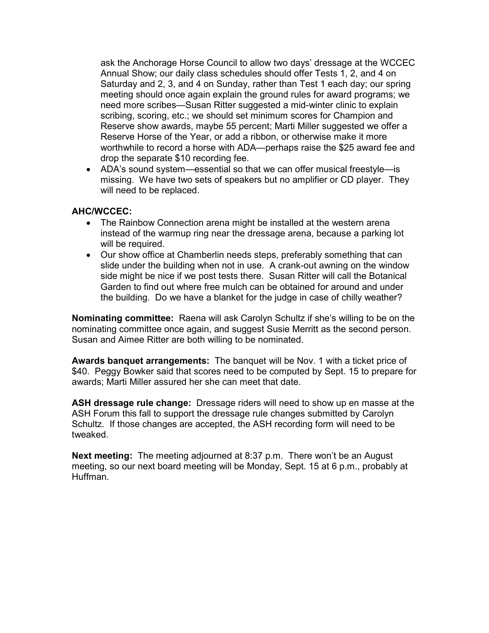ask the Anchorage Horse Council to allow two days' dressage at the WCCEC Annual Show; our daily class schedules should offer Tests 1, 2, and 4 on Saturday and 2, 3, and 4 on Sunday, rather than Test 1 each day; our spring meeting should once again explain the ground rules for award programs; we need more scribes—Susan Ritter suggested a mid-winter clinic to explain scribing, scoring, etc.; we should set minimum scores for Champion and Reserve show awards, maybe 55 percent; Marti Miller suggested we offer a Reserve Horse of the Year, or add a ribbon, or otherwise make it more worthwhile to record a horse with ADA—perhaps raise the \$25 award fee and drop the separate \$10 recording fee.

• ADA's sound system—essential so that we can offer musical freestyle—is missing. We have two sets of speakers but no amplifier or CD player. They will need to be replaced.

### AHC/WCCEC:

- The Rainbow Connection arena might be installed at the western arena instead of the warmup ring near the dressage arena, because a parking lot will be required.
- Our show office at Chamberlin needs steps, preferably something that can slide under the building when not in use. A crank-out awning on the window side might be nice if we post tests there. Susan Ritter will call the Botanical Garden to find out where free mulch can be obtained for around and under the building. Do we have a blanket for the judge in case of chilly weather?

Nominating committee: Raena will ask Carolyn Schultz if she's willing to be on the nominating committee once again, and suggest Susie Merritt as the second person. Susan and Aimee Ritter are both willing to be nominated.

Awards banquet arrangements: The banquet will be Nov. 1 with a ticket price of \$40. Peggy Bowker said that scores need to be computed by Sept. 15 to prepare for awards; Marti Miller assured her she can meet that date.

ASH dressage rule change: Dressage riders will need to show up en masse at the ASH Forum this fall to support the dressage rule changes submitted by Carolyn Schultz. If those changes are accepted, the ASH recording form will need to be tweaked.

Next meeting: The meeting adjourned at 8:37 p.m. There won't be an August meeting, so our next board meeting will be Monday, Sept. 15 at 6 p.m., probably at Huffman.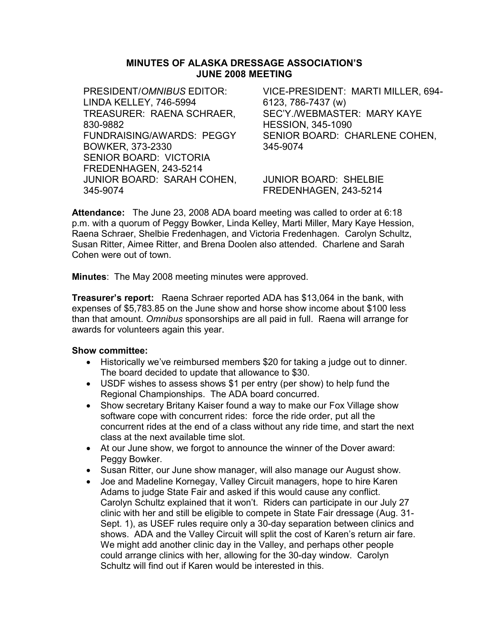## MINUTES OF ALASKA DRESSAGE ASSOCIATION'S JUNE 2008 MEETING

PRESIDENT/OMNIBUS EDITOR: LINDA KELLEY, 746-5994 TREASURER: RAENA SCHRAER, 830-9882 FUNDRAISING/AWARDS: PEGGY BOWKER, 373-2330 SENIOR BOARD: VICTORIA FREDENHAGEN, 243-5214 JUNIOR BOARD: SARAH COHEN, 345-9074

VICE-PRESIDENT: MARTI MILLER, 694- 6123, 786-7437 (w) SEC'Y./WEBMASTER: MARY KAYE HESSION, 345-1090 SENIOR BOARD: CHARLENE COHEN, 345-9074

JUNIOR BOARD: SHELBIE FREDENHAGEN, 243-5214

Attendance: The June 23, 2008 ADA board meeting was called to order at 6:18 p.m. with a quorum of Peggy Bowker, Linda Kelley, Marti Miller, Mary Kaye Hession, Raena Schraer, Shelbie Fredenhagen, and Victoria Fredenhagen. Carolyn Schultz, Susan Ritter, Aimee Ritter, and Brena Doolen also attended. Charlene and Sarah Cohen were out of town.

Minutes: The May 2008 meeting minutes were approved.

Treasurer's report: Raena Schraer reported ADA has \$13,064 in the bank, with expenses of \$5,783.85 on the June show and horse show income about \$100 less than that amount. Omnibus sponsorships are all paid in full. Raena will arrange for awards for volunteers again this year.

- Historically we've reimbursed members \$20 for taking a judge out to dinner. The board decided to update that allowance to \$30.
- USDF wishes to assess shows \$1 per entry (per show) to help fund the Regional Championships. The ADA board concurred.
- Show secretary Britany Kaiser found a way to make our Fox Village show software cope with concurrent rides: force the ride order, put all the concurrent rides at the end of a class without any ride time, and start the next class at the next available time slot.
- At our June show, we forgot to announce the winner of the Dover award: Peggy Bowker.
- Susan Ritter, our June show manager, will also manage our August show.
- Joe and Madeline Kornegay, Valley Circuit managers, hope to hire Karen Adams to judge State Fair and asked if this would cause any conflict. Carolyn Schultz explained that it won't. Riders can participate in our July 27 clinic with her and still be eligible to compete in State Fair dressage (Aug. 31- Sept. 1), as USEF rules require only a 30-day separation between clinics and shows. ADA and the Valley Circuit will split the cost of Karen's return air fare. We might add another clinic day in the Valley, and perhaps other people could arrange clinics with her, allowing for the 30-day window. Carolyn Schultz will find out if Karen would be interested in this.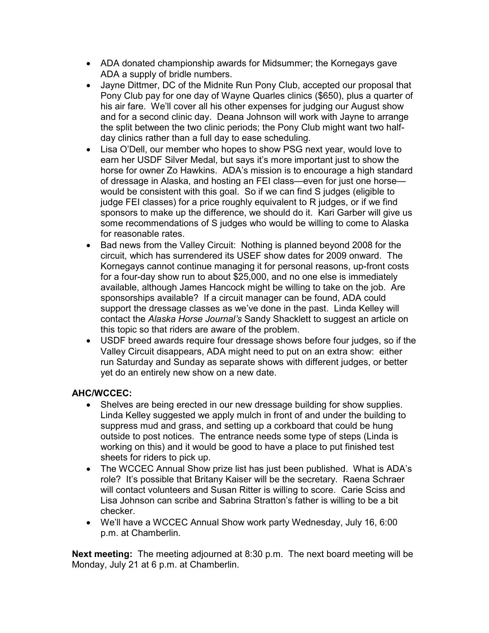- ADA donated championship awards for Midsummer; the Kornegays gave ADA a supply of bridle numbers.
- Jayne Dittmer, DC of the Midnite Run Pony Club, accepted our proposal that Pony Club pay for one day of Wayne Quarles clinics (\$650), plus a quarter of his air fare. We'll cover all his other expenses for judging our August show and for a second clinic day. Deana Johnson will work with Jayne to arrange the split between the two clinic periods; the Pony Club might want two halfday clinics rather than a full day to ease scheduling.
- Lisa O'Dell, our member who hopes to show PSG next year, would love to earn her USDF Silver Medal, but says it's more important just to show the horse for owner Zo Hawkins. ADA's mission is to encourage a high standard of dressage in Alaska, and hosting an FEI class—even for just one horse would be consistent with this goal. So if we can find S judges (eligible to judge FEI classes) for a price roughly equivalent to R judges, or if we find sponsors to make up the difference, we should do it. Kari Garber will give us some recommendations of S judges who would be willing to come to Alaska for reasonable rates.
- Bad news from the Valley Circuit: Nothing is planned beyond 2008 for the circuit, which has surrendered its USEF show dates for 2009 onward. The Kornegays cannot continue managing it for personal reasons, up-front costs for a four-day show run to about \$25,000, and no one else is immediately available, although James Hancock might be willing to take on the job. Are sponsorships available? If a circuit manager can be found, ADA could support the dressage classes as we've done in the past. Linda Kelley will contact the Alaska Horse Journal's Sandy Shacklett to suggest an article on this topic so that riders are aware of the problem.
- USDF breed awards require four dressage shows before four judges, so if the Valley Circuit disappears, ADA might need to put on an extra show: either run Saturday and Sunday as separate shows with different judges, or better yet do an entirely new show on a new date.

# AHC/WCCEC:

- Shelves are being erected in our new dressage building for show supplies. Linda Kelley suggested we apply mulch in front of and under the building to suppress mud and grass, and setting up a corkboard that could be hung outside to post notices. The entrance needs some type of steps (Linda is working on this) and it would be good to have a place to put finished test sheets for riders to pick up.
- The WCCEC Annual Show prize list has just been published. What is ADA's role? It's possible that Britany Kaiser will be the secretary. Raena Schraer will contact volunteers and Susan Ritter is willing to score. Carie Sciss and Lisa Johnson can scribe and Sabrina Stratton's father is willing to be a bit checker.
- We'll have a WCCEC Annual Show work party Wednesday, July 16, 6:00 p.m. at Chamberlin.

Next meeting: The meeting adjourned at 8:30 p.m. The next board meeting will be Monday, July 21 at 6 p.m. at Chamberlin.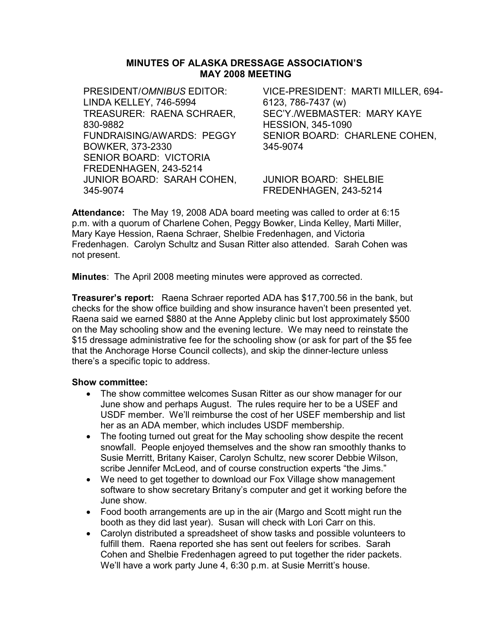## MINUTES OF ALASKA DRESSAGE ASSOCIATION'S MAY 2008 MEETING

PRESIDENT/OMNIBUS EDITOR: LINDA KELLEY, 746-5994 TREASURER: RAENA SCHRAER, 830-9882 FUNDRAISING/AWARDS: PEGGY BOWKER, 373-2330 SENIOR BOARD: VICTORIA FREDENHAGEN, 243-5214 JUNIOR BOARD: SARAH COHEN, 345-9074

VICE-PRESIDENT: MARTI MILLER, 694- 6123, 786-7437 (w) SEC'Y./WEBMASTER: MARY KAYE HESSION, 345-1090 SENIOR BOARD: CHARLENE COHEN, 345-9074

JUNIOR BOARD: SHELBIE FREDENHAGEN, 243-5214

Attendance: The May 19, 2008 ADA board meeting was called to order at 6:15 p.m. with a quorum of Charlene Cohen, Peggy Bowker, Linda Kelley, Marti Miller, Mary Kaye Hession, Raena Schraer, Shelbie Fredenhagen, and Victoria Fredenhagen. Carolyn Schultz and Susan Ritter also attended. Sarah Cohen was not present.

Minutes: The April 2008 meeting minutes were approved as corrected.

Treasurer's report: Raena Schraer reported ADA has \$17,700.56 in the bank, but checks for the show office building and show insurance haven't been presented yet. Raena said we earned \$880 at the Anne Appleby clinic but lost approximately \$500 on the May schooling show and the evening lecture. We may need to reinstate the \$15 dressage administrative fee for the schooling show (or ask for part of the \$5 fee that the Anchorage Horse Council collects), and skip the dinner-lecture unless there's a specific topic to address.

- The show committee welcomes Susan Ritter as our show manager for our June show and perhaps August. The rules require her to be a USEF and USDF member. We'll reimburse the cost of her USEF membership and list her as an ADA member, which includes USDF membership.
- The footing turned out great for the May schooling show despite the recent snowfall. People enjoyed themselves and the show ran smoothly thanks to Susie Merritt, Britany Kaiser, Carolyn Schultz, new scorer Debbie Wilson, scribe Jennifer McLeod, and of course construction experts "the Jims."
- We need to get together to download our Fox Village show management software to show secretary Britany's computer and get it working before the June show.
- Food booth arrangements are up in the air (Margo and Scott might run the booth as they did last year). Susan will check with Lori Carr on this.
- Carolyn distributed a spreadsheet of show tasks and possible volunteers to fulfill them. Raena reported she has sent out feelers for scribes. Sarah Cohen and Shelbie Fredenhagen agreed to put together the rider packets. We'll have a work party June 4, 6:30 p.m. at Susie Merritt's house.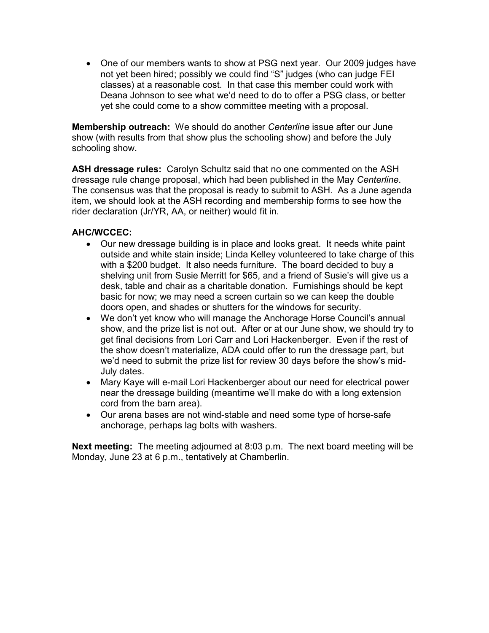• One of our members wants to show at PSG next year. Our 2009 judges have not yet been hired; possibly we could find "S" judges (who can judge FEI classes) at a reasonable cost. In that case this member could work with Deana Johnson to see what we'd need to do to offer a PSG class, or better yet she could come to a show committee meeting with a proposal.

Membership outreach: We should do another Centerline issue after our June show (with results from that show plus the schooling show) and before the July schooling show.

ASH dressage rules: Carolyn Schultz said that no one commented on the ASH dressage rule change proposal, which had been published in the May Centerline. The consensus was that the proposal is ready to submit to ASH. As a June agenda item, we should look at the ASH recording and membership forms to see how the rider declaration (Jr/YR, AA, or neither) would fit in.

# AHC/WCCEC:

- Our new dressage building is in place and looks great. It needs white paint outside and white stain inside; Linda Kelley volunteered to take charge of this with a \$200 budget. It also needs furniture. The board decided to buy a shelving unit from Susie Merritt for \$65, and a friend of Susie's will give us a desk, table and chair as a charitable donation. Furnishings should be kept basic for now; we may need a screen curtain so we can keep the double doors open, and shades or shutters for the windows for security.
- We don't yet know who will manage the Anchorage Horse Council's annual show, and the prize list is not out. After or at our June show, we should try to get final decisions from Lori Carr and Lori Hackenberger. Even if the rest of the show doesn't materialize, ADA could offer to run the dressage part, but we'd need to submit the prize list for review 30 days before the show's mid-July dates.
- Mary Kaye will e-mail Lori Hackenberger about our need for electrical power near the dressage building (meantime we'll make do with a long extension cord from the barn area).
- Our arena bases are not wind-stable and need some type of horse-safe anchorage, perhaps lag bolts with washers.

Next meeting: The meeting adjourned at 8:03 p.m. The next board meeting will be Monday, June 23 at 6 p.m., tentatively at Chamberlin.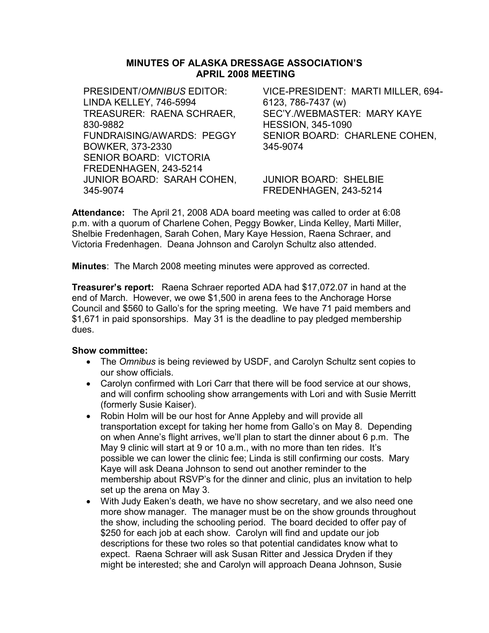## MINUTES OF ALASKA DRESSAGE ASSOCIATION'S APRIL 2008 MEETING

PRESIDENT/OMNIBUS EDITOR: LINDA KELLEY, 746-5994 TREASURER: RAENA SCHRAER, 830-9882 FUNDRAISING/AWARDS: PEGGY BOWKER, 373-2330 SENIOR BOARD: VICTORIA FREDENHAGEN, 243-5214 JUNIOR BOARD: SARAH COHEN, 345-9074

VICE-PRESIDENT: MARTI MILLER, 694- 6123, 786-7437 (w) SEC'Y./WEBMASTER: MARY KAYE HESSION, 345-1090 SENIOR BOARD: CHARLENE COHEN, 345-9074

JUNIOR BOARD: SHELBIE FREDENHAGEN, 243-5214

Attendance: The April 21, 2008 ADA board meeting was called to order at 6:08 p.m. with a quorum of Charlene Cohen, Peggy Bowker, Linda Kelley, Marti Miller, Shelbie Fredenhagen, Sarah Cohen, Mary Kaye Hession, Raena Schraer, and Victoria Fredenhagen. Deana Johnson and Carolyn Schultz also attended.

Minutes: The March 2008 meeting minutes were approved as corrected.

Treasurer's report: Raena Schraer reported ADA had \$17,072.07 in hand at the end of March. However, we owe \$1,500 in arena fees to the Anchorage Horse Council and \$560 to Gallo's for the spring meeting. We have 71 paid members and \$1,671 in paid sponsorships. May 31 is the deadline to pay pledged membership dues.

- The Omnibus is being reviewed by USDF, and Carolyn Schultz sent copies to our show officials.
- Carolyn confirmed with Lori Carr that there will be food service at our shows, and will confirm schooling show arrangements with Lori and with Susie Merritt (formerly Susie Kaiser).
- Robin Holm will be our host for Anne Appleby and will provide all transportation except for taking her home from Gallo's on May 8. Depending on when Anne's flight arrives, we'll plan to start the dinner about 6 p.m. The May 9 clinic will start at 9 or 10 a.m., with no more than ten rides. It's possible we can lower the clinic fee; Linda is still confirming our costs. Mary Kaye will ask Deana Johnson to send out another reminder to the membership about RSVP's for the dinner and clinic, plus an invitation to help set up the arena on May 3.
- With Judy Eaken's death, we have no show secretary, and we also need one more show manager. The manager must be on the show grounds throughout the show, including the schooling period. The board decided to offer pay of \$250 for each job at each show. Carolyn will find and update our job descriptions for these two roles so that potential candidates know what to expect. Raena Schraer will ask Susan Ritter and Jessica Dryden if they might be interested; she and Carolyn will approach Deana Johnson, Susie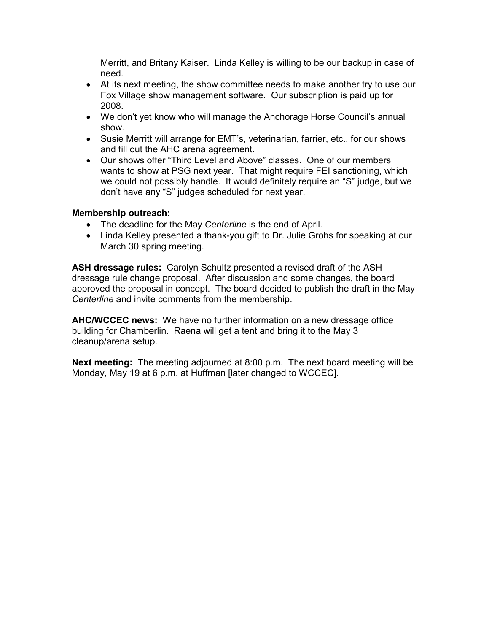Merritt, and Britany Kaiser. Linda Kelley is willing to be our backup in case of need.

- At its next meeting, the show committee needs to make another try to use our Fox Village show management software. Our subscription is paid up for 2008.
- We don't yet know who will manage the Anchorage Horse Council's annual show.
- Susie Merritt will arrange for EMT's, veterinarian, farrier, etc., for our shows and fill out the AHC arena agreement.
- Our shows offer "Third Level and Above" classes. One of our members wants to show at PSG next year. That might require FEI sanctioning, which we could not possibly handle. It would definitely require an "S" judge, but we don't have any "S" judges scheduled for next year.

## Membership outreach:

- The deadline for the May Centerline is the end of April.
- Linda Kelley presented a thank-you gift to Dr. Julie Grohs for speaking at our March 30 spring meeting.

ASH dressage rules: Carolyn Schultz presented a revised draft of the ASH dressage rule change proposal. After discussion and some changes, the board approved the proposal in concept. The board decided to publish the draft in the May Centerline and invite comments from the membership.

AHC/WCCEC news: We have no further information on a new dressage office building for Chamberlin. Raena will get a tent and bring it to the May 3 cleanup/arena setup.

Next meeting: The meeting adjourned at 8:00 p.m. The next board meeting will be Monday, May 19 at 6 p.m. at Huffman [later changed to WCCEC].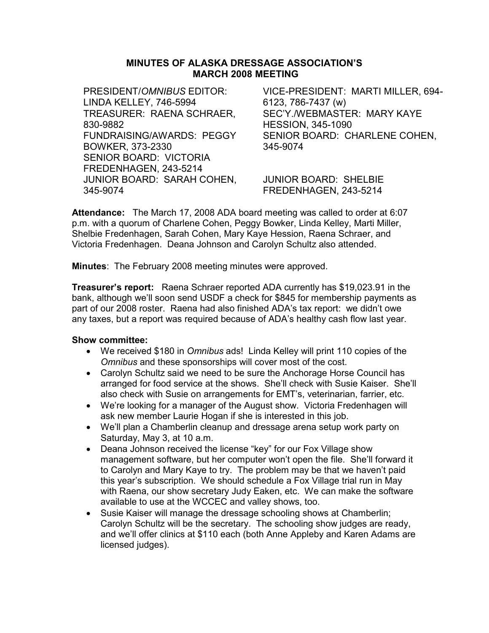## MINUTES OF ALASKA DRESSAGE ASSOCIATION'S MARCH 2008 MEETING

PRESIDENT/OMNIBUS EDITOR: LINDA KELLEY, 746-5994 TREASURER: RAENA SCHRAER, 830-9882 FUNDRAISING/AWARDS: PEGGY BOWKER, 373-2330 SENIOR BOARD: VICTORIA FREDENHAGEN, 243-5214 JUNIOR BOARD: SARAH COHEN, 345-9074

VICE-PRESIDENT: MARTI MILLER, 694- 6123, 786-7437 (w) SEC'Y./WEBMASTER: MARY KAYE HESSION, 345-1090 SENIOR BOARD: CHARLENE COHEN, 345-9074

JUNIOR BOARD: SHELBIE FREDENHAGEN, 243-5214

Attendance: The March 17, 2008 ADA board meeting was called to order at 6:07 p.m. with a quorum of Charlene Cohen, Peggy Bowker, Linda Kelley, Marti Miller, Shelbie Fredenhagen, Sarah Cohen, Mary Kaye Hession, Raena Schraer, and Victoria Fredenhagen. Deana Johnson and Carolyn Schultz also attended.

Minutes: The February 2008 meeting minutes were approved.

Treasurer's report: Raena Schraer reported ADA currently has \$19,023.91 in the bank, although we'll soon send USDF a check for \$845 for membership payments as part of our 2008 roster. Raena had also finished ADA's tax report: we didn't owe any taxes, but a report was required because of ADA's healthy cash flow last year.

- We received \$180 in Omnibus ads! Linda Kelley will print 110 copies of the Omnibus and these sponsorships will cover most of the cost.
- Carolyn Schultz said we need to be sure the Anchorage Horse Council has arranged for food service at the shows. She'll check with Susie Kaiser. She'll also check with Susie on arrangements for EMT's, veterinarian, farrier, etc.
- We're looking for a manager of the August show. Victoria Fredenhagen will ask new member Laurie Hogan if she is interested in this job.
- We'll plan a Chamberlin cleanup and dressage arena setup work party on Saturday, May 3, at 10 a.m.
- Deana Johnson received the license "key" for our Fox Village show management software, but her computer won't open the file. She'll forward it to Carolyn and Mary Kaye to try. The problem may be that we haven't paid this year's subscription. We should schedule a Fox Village trial run in May with Raena, our show secretary Judy Eaken, etc. We can make the software available to use at the WCCEC and valley shows, too.
- Susie Kaiser will manage the dressage schooling shows at Chamberlin; Carolyn Schultz will be the secretary. The schooling show judges are ready, and we'll offer clinics at \$110 each (both Anne Appleby and Karen Adams are licensed judges).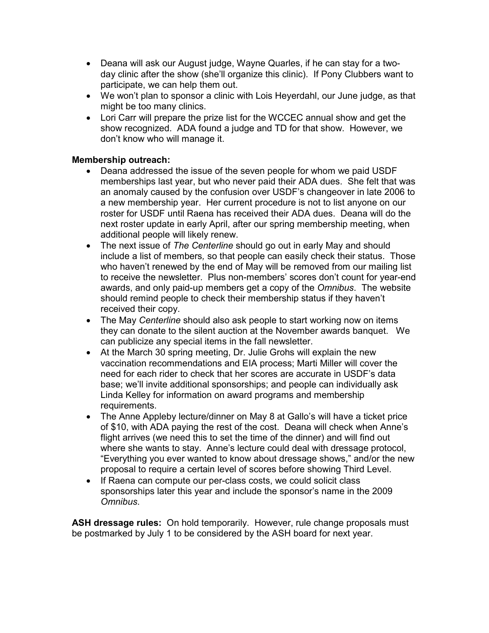- Deana will ask our August judge, Wayne Quarles, if he can stay for a twoday clinic after the show (she'll organize this clinic). If Pony Clubbers want to participate, we can help them out.
- We won't plan to sponsor a clinic with Lois Heyerdahl, our June judge, as that might be too many clinics.
- Lori Carr will prepare the prize list for the WCCEC annual show and get the show recognized. ADA found a judge and TD for that show. However, we don't know who will manage it.

# Membership outreach:

- Deana addressed the issue of the seven people for whom we paid USDF memberships last year, but who never paid their ADA dues. She felt that was an anomaly caused by the confusion over USDF's changeover in late 2006 to a new membership year. Her current procedure is not to list anyone on our roster for USDF until Raena has received their ADA dues. Deana will do the next roster update in early April, after our spring membership meeting, when additional people will likely renew.
- The next issue of The Centerline should go out in early May and should include a list of members, so that people can easily check their status. Those who haven't renewed by the end of May will be removed from our mailing list to receive the newsletter. Plus non-members' scores don't count for year-end awards, and only paid-up members get a copy of the Omnibus. The website should remind people to check their membership status if they haven't received their copy.
- The May Centerline should also ask people to start working now on items they can donate to the silent auction at the November awards banquet. We can publicize any special items in the fall newsletter.
- At the March 30 spring meeting, Dr. Julie Grohs will explain the new vaccination recommendations and EIA process; Marti Miller will cover the need for each rider to check that her scores are accurate in USDF's data base; we'll invite additional sponsorships; and people can individually ask Linda Kelley for information on award programs and membership requirements.
- The Anne Appleby lecture/dinner on May 8 at Gallo's will have a ticket price of \$10, with ADA paying the rest of the cost. Deana will check when Anne's flight arrives (we need this to set the time of the dinner) and will find out where she wants to stay. Anne's lecture could deal with dressage protocol, "Everything you ever wanted to know about dressage shows," and/or the new proposal to require a certain level of scores before showing Third Level.
- If Raena can compute our per-class costs, we could solicit class sponsorships later this year and include the sponsor's name in the 2009 Omnibus.

ASH dressage rules: On hold temporarily. However, rule change proposals must be postmarked by July 1 to be considered by the ASH board for next year.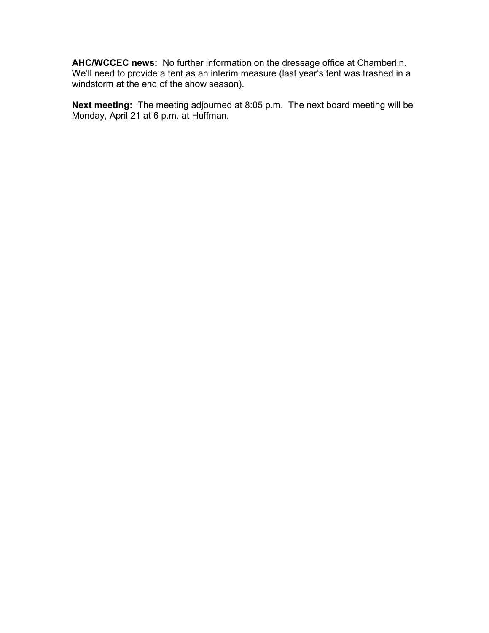AHC/WCCEC news: No further information on the dressage office at Chamberlin. We'll need to provide a tent as an interim measure (last year's tent was trashed in a windstorm at the end of the show season).

Next meeting: The meeting adjourned at 8:05 p.m. The next board meeting will be Monday, April 21 at 6 p.m. at Huffman.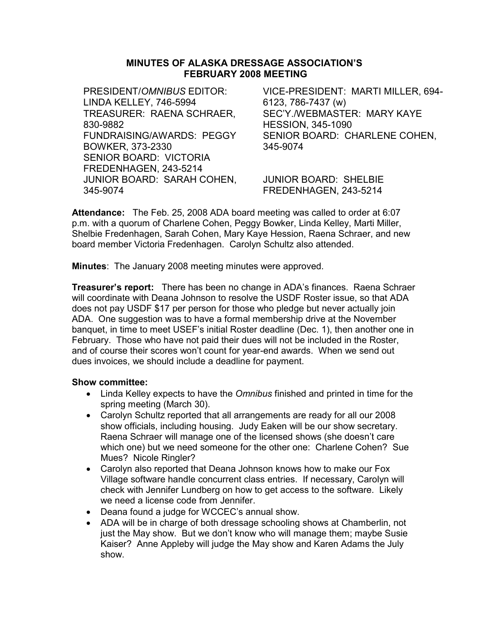## MINUTES OF ALASKA DRESSAGE ASSOCIATION'S FEBRUARY 2008 MEETING

PRESIDENT/OMNIBUS EDITOR: LINDA KELLEY, 746-5994 TREASURER: RAENA SCHRAER, 830-9882 FUNDRAISING/AWARDS: PEGGY BOWKER, 373-2330 SENIOR BOARD: VICTORIA FREDENHAGEN, 243-5214 JUNIOR BOARD: SARAH COHEN, 345-9074

VICE-PRESIDENT: MARTI MILLER, 694- 6123, 786-7437 (w) SEC'Y./WEBMASTER: MARY KAYE HESSION, 345-1090 SENIOR BOARD: CHARLENE COHEN, 345-9074

JUNIOR BOARD: SHELBIE FREDENHAGEN, 243-5214

Attendance: The Feb. 25, 2008 ADA board meeting was called to order at 6:07 p.m. with a quorum of Charlene Cohen, Peggy Bowker, Linda Kelley, Marti Miller, Shelbie Fredenhagen, Sarah Cohen, Mary Kaye Hession, Raena Schraer, and new board member Victoria Fredenhagen. Carolyn Schultz also attended.

Minutes: The January 2008 meeting minutes were approved.

**Treasurer's report:** There has been no change in ADA's finances. Raena Schraer will coordinate with Deana Johnson to resolve the USDF Roster issue, so that ADA does not pay USDF \$17 per person for those who pledge but never actually join ADA. One suggestion was to have a formal membership drive at the November banquet, in time to meet USEF's initial Roster deadline (Dec. 1), then another one in February. Those who have not paid their dues will not be included in the Roster, and of course their scores won't count for year-end awards. When we send out dues invoices, we should include a deadline for payment.

- Linda Kelley expects to have the *Omnibus* finished and printed in time for the spring meeting (March 30).
- Carolyn Schultz reported that all arrangements are ready for all our 2008 show officials, including housing. Judy Eaken will be our show secretary. Raena Schraer will manage one of the licensed shows (she doesn't care which one) but we need someone for the other one: Charlene Cohen? Sue Mues? Nicole Ringler?
- Carolyn also reported that Deana Johnson knows how to make our Fox Village software handle concurrent class entries. If necessary, Carolyn will check with Jennifer Lundberg on how to get access to the software. Likely we need a license code from Jennifer.
- Deana found a judge for WCCEC's annual show.
- ADA will be in charge of both dressage schooling shows at Chamberlin, not just the May show. But we don't know who will manage them; maybe Susie Kaiser? Anne Appleby will judge the May show and Karen Adams the July show.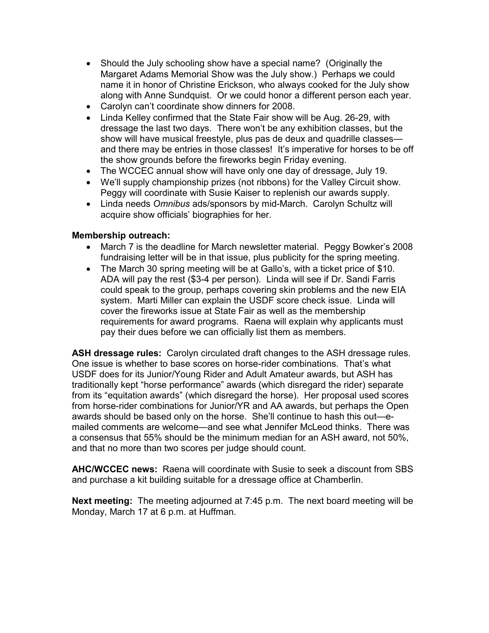- Should the July schooling show have a special name? (Originally the Margaret Adams Memorial Show was the July show.) Perhaps we could name it in honor of Christine Erickson, who always cooked for the July show along with Anne Sundquist. Or we could honor a different person each year.
- Carolyn can't coordinate show dinners for 2008.
- Linda Kelley confirmed that the State Fair show will be Aug. 26-29, with dressage the last two days. There won't be any exhibition classes, but the show will have musical freestyle, plus pas de deux and quadrille classes and there may be entries in those classes! It's imperative for horses to be off the show grounds before the fireworks begin Friday evening.
- The WCCEC annual show will have only one day of dressage, July 19.
- We'll supply championship prizes (not ribbons) for the Valley Circuit show. Peggy will coordinate with Susie Kaiser to replenish our awards supply.
- Linda needs Omnibus ads/sponsors by mid-March. Carolyn Schultz will acquire show officials' biographies for her.

# Membership outreach:

- March 7 is the deadline for March newsletter material. Peggy Bowker's 2008 fundraising letter will be in that issue, plus publicity for the spring meeting.
- The March 30 spring meeting will be at Gallo's, with a ticket price of \$10. ADA will pay the rest (\$3-4 per person). Linda will see if Dr. Sandi Farris could speak to the group, perhaps covering skin problems and the new EIA system. Marti Miller can explain the USDF score check issue. Linda will cover the fireworks issue at State Fair as well as the membership requirements for award programs. Raena will explain why applicants must pay their dues before we can officially list them as members.

ASH dressage rules: Carolyn circulated draft changes to the ASH dressage rules. One issue is whether to base scores on horse-rider combinations. That's what USDF does for its Junior/Young Rider and Adult Amateur awards, but ASH has traditionally kept "horse performance" awards (which disregard the rider) separate from its "equitation awards" (which disregard the horse). Her proposal used scores from horse-rider combinations for Junior/YR and AA awards, but perhaps the Open awards should be based only on the horse. She'll continue to hash this out—emailed comments are welcome—and see what Jennifer McLeod thinks. There was a consensus that 55% should be the minimum median for an ASH award, not 50%, and that no more than two scores per judge should count.

AHC/WCCEC news: Raena will coordinate with Susie to seek a discount from SBS and purchase a kit building suitable for a dressage office at Chamberlin.

Next meeting: The meeting adjourned at 7:45 p.m. The next board meeting will be Monday, March 17 at 6 p.m. at Huffman.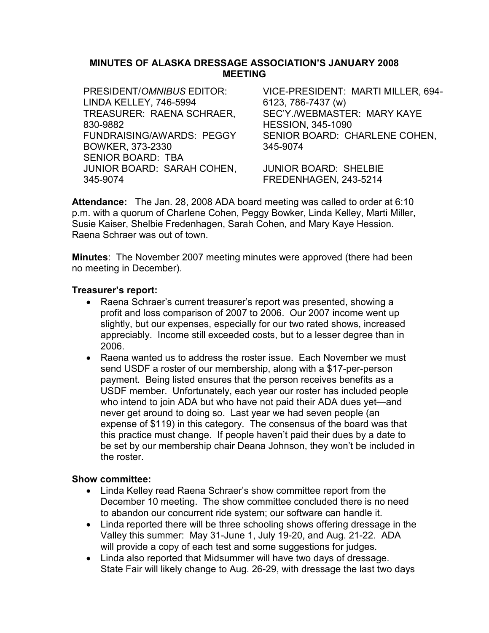## MINUTES OF ALASKA DRESSAGE ASSOCIATION'S JANUARY 2008 MEETING

PRESIDENT/OMNIBUS EDITOR: LINDA KELLEY, 746-5994 VICE-PRESIDENT: MARTI MILLER, 694- 6123, 786-7437 (w) TREASURER: RAENA SCHRAER, 830-9882 SEC'Y./WEBMASTER: MARY KAYE HESSION, 345-1090 FUNDRAISING/AWARDS: PEGGY BOWKER, 373-2330 SENIOR BOARD: CHARLENE COHEN, 345-9074 SENIOR BOARD: TBA JUNIOR BOARD: SARAH COHEN, 345-9074 JUNIOR BOARD: SHELBIE FREDENHAGEN, 243-5214

Attendance: The Jan. 28, 2008 ADA board meeting was called to order at 6:10 p.m. with a quorum of Charlene Cohen, Peggy Bowker, Linda Kelley, Marti Miller, Susie Kaiser, Shelbie Fredenhagen, Sarah Cohen, and Mary Kaye Hession. Raena Schraer was out of town.

Minutes: The November 2007 meeting minutes were approved (there had been no meeting in December).

## Treasurer's report:

- Raena Schraer's current treasurer's report was presented, showing a profit and loss comparison of 2007 to 2006. Our 2007 income went up slightly, but our expenses, especially for our two rated shows, increased appreciably. Income still exceeded costs, but to a lesser degree than in 2006.
- Raena wanted us to address the roster issue. Each November we must send USDF a roster of our membership, along with a \$17-per-person payment. Being listed ensures that the person receives benefits as a USDF member. Unfortunately, each year our roster has included people who intend to join ADA but who have not paid their ADA dues yet—and never get around to doing so. Last year we had seven people (an expense of \$119) in this category. The consensus of the board was that this practice must change. If people haven't paid their dues by a date to be set by our membership chair Deana Johnson, they won't be included in the roster.

- Linda Kelley read Raena Schraer's show committee report from the December 10 meeting. The show committee concluded there is no need to abandon our concurrent ride system; our software can handle it.
- Linda reported there will be three schooling shows offering dressage in the Valley this summer: May 31-June 1, July 19-20, and Aug. 21-22. ADA will provide a copy of each test and some suggestions for judges.
- Linda also reported that Midsummer will have two days of dressage. State Fair will likely change to Aug. 26-29, with dressage the last two days